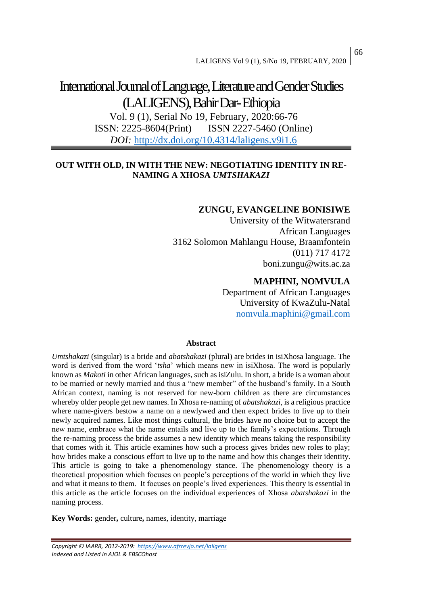# International Journal of Language, Literature and Gender Studies (LALIGENS), Bahir Dar-Ethiopia

Vol. 9 (1), Serial No 19, February, 2020:66-76 ISSN: 2225-8604(Print) ISSN 2227-5460 (Online) *DOI:* <http://dx.doi.org/10.4314/laligens.v9i1.6>

# **OUT WITH OLD, IN WITH THE NEW: NEGOTIATING IDENTITY IN RE-NAMING A XHOSA** *UMTSHAKAZI*

# **ZUNGU, EVANGELINE BONISIWE**

University of the Witwatersrand African Languages 3162 Solomon Mahlangu House, Braamfontein (011) 717 4172 boni.zungu@wits.ac.za

# **MAPHINI, NOMVULA**

Department of African Languages University of KwaZulu-Natal [nomvula.maphini@gmail.com](mailto:nomvula.maphini@gmail.com)

## **Abstract**

*Umtshakazi* (singular) is a bride and *abatshakazi* (plural) are brides in isiXhosa language. The word is derived from the word '*tsha*' which means new in isiXhosa. The word is popularly known as *Makoti* in other African languages, such as isiZulu. In short, a bride is a woman about to be married or newly married and thus a "new member" of the husband's family. In a South African context, naming is not reserved for new-born children as there are circumstances whereby older people get new names. In Xhosa re-naming of *abatshakazi*, is a religious practice where name-givers bestow a name on a newlywed and then expect brides to live up to their newly acquired names. Like most things cultural, the brides have no choice but to accept the new name, embrace what the name entails and live up to the family's expectations. Through the re-naming process the bride assumes a new identity which means taking the responsibility that comes with it. This article examines how such a process gives brides new roles to play; how brides make a conscious effort to live up to the name and how this changes their identity. This article is going to take a phenomenology stance. The phenomenology theory is a theoretical proposition which focuses on people's perceptions of the world in which they live and what it means to them. It focuses on people's lived experiences. This theory is essential in this article as the article focuses on the individual experiences of Xhosa *abatshakazi* in the naming process.

**Key Words:** gender**,** culture**,** names, identity, marriage

*Copyright © IAARR, 2012-2019: <https://www.afrrevjo.net/laligens> Indexed and Listed in AJOL & EBSCOhost*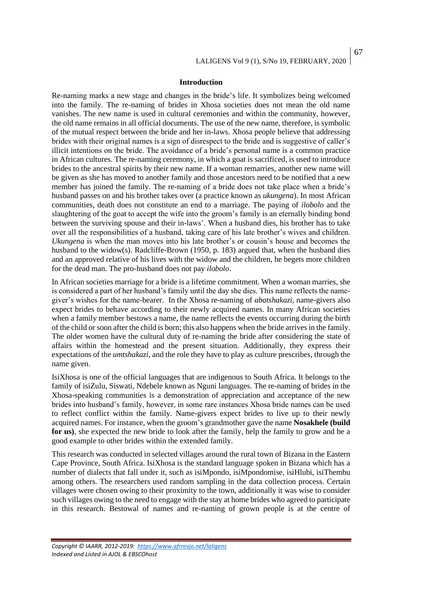#### **Introduction**

Re-naming marks a new stage and changes in the bride's life. It symbolizes being welcomed into the family. The re-naming of brides in Xhosa societies does not mean the old name vanishes. The new name is used in cultural ceremonies and within the community, however, the old name remains in all official documents. The use of the new name, therefore, is symbolic of the mutual respect between the bride and her in-laws. Xhosa people believe that addressing brides with their original names is a sign of disrespect to the bride and is suggestive of caller's illicit intentions on the bride. The avoidance of a bride's personal name is a common practice in African cultures. The re-naming ceremony, in which a goat is sacrificed, is used to introduce brides to the ancestral spirits by their new name. If a woman remarries, another new name will be given as she has moved to another family and those ancestors need to be notified that a new member has joined the family. The re-naming of a bride does not take place when a bride's husband passes on and his brother takes over (a practice known as *ukungena*). In most African communities, death does not constitute an end to a marriage. The paying of *ilobolo* and the slaughtering of the goat to accept the wife into the groom's family is an eternally binding bond between the surviving spouse and their in-laws'. When a husband dies, his brother has to take over all the responsibilities of a husband, taking care of his late brother's wives and children. *Ukungena* is when the man moves into his late brother's or cousin's house and becomes the husband to the widow(s). Radcliffe-Brown (1950, p. 183) argued that, when the husband dies and an approved relative of his lives with the widow and the children, he begets more children for the dead man. The pro-husband does not pay *ilobolo*.

In African societies marriage for a bride is a lifetime commitment. When a woman marries, she is considered a part of her husband's family until the day she dies. This name reflects the namegiver's wishes for the name-bearer. In the Xhosa re-naming of *abatshakazi*, name-givers also expect brides to behave according to their newly acquired names. In many African societies when a family member bestows a name, the name reflects the events occurring during the birth of the child or soon after the child is born; this also happens when the bride arrives in the family. The older women have the cultural duty of re-naming the bride after considering the state of affairs within the homestead and the present situation. Additionally, they express their expectations of the *umtshakazi,* and the role they have to play as culture prescribes, through the name given.

IsiXhosa is one of the official languages that are indigenous to South Africa. It belongs to the family of isiZulu, Siswati, Ndebele known as Nguni languages. The re-naming of brides in the Xhosa-speaking communities is a demonstration of appreciation and acceptance of the new brides into husband's family, however, in some rare instances Xhosa bride names can be used to reflect conflict within the family. Name-givers expect brides to live up to their newly acquired names. For instance, when the groom's grandmother gave the name **Nosakhele (build for us)**, she expected the new bride to look after the family, help the family to grow and be a good example to other brides within the extended family.

This research was conducted in selected villages around the rural town of Bizana in the Eastern Cape Province, South Africa. IsiXhosa is the standard language spoken in Bizana which has a number of dialects that fall under it, such as isiMpondo, isiMpondomise, isiHlubi, isiThembu among others. The researchers used random sampling in the data collection process. Certain villages were chosen owing to their proximity to the town, additionally it was wise to consider such villages owing to the need to engage with the stay at home brides who agreed to participate in this research. Bestowal of names and re-naming of grown people is at the centre of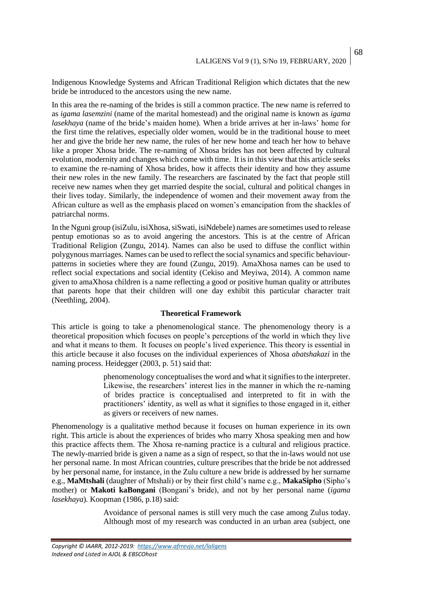Indigenous Knowledge Systems and African Traditional Religion which dictates that the new bride be introduced to the ancestors using the new name.

In this area the re-naming of the brides is still a common practice. The new name is referred to as *igama lasemzini* (name of the marital homestead) and the original name is known as *igama lasekhaya* (name of the bride's maiden home)*.* When a bride arrives at her in-laws' home for the first time the relatives, especially older women, would be in the traditional house to meet her and give the bride her new name, the rules of her new home and teach her how to behave like a proper Xhosa bride. The re-naming of Xhosa brides has not been affected by cultural evolution, modernity and changes which come with time. It is in this view that this article seeks to examine the re-naming of Xhosa brides, how it affects their identity and how they assume their new roles in the new family. The researchers are fascinated by the fact that people still receive new names when they get married despite the social, cultural and political changes in their lives today. Similarly, the independence of women and their movement away from the African culture as well as the emphasis placed on women's emancipation from the shackles of patriarchal norms.

In the Nguni group (isiZulu, isiXhosa, siSwati, isiNdebele) names are sometimes used to release pentup emotionas so as to avoid angering the ancestors. This is at the centre of African Traditional Religion (Zungu, 2014). Names can also be used to diffuse the conflict within polygynous marriages. Names can be used to reflect the social synamics and specific behaviourpatterns in societies where they are found (Zungu, 2019). AmaXhosa names can be used to reflect social expectations and social identity (Cekiso and Meyiwa, 2014). A common name given to amaXhosa children is a name reflecting a good or positive human quality or attributes that parents hope that their children will one day exhibit this particular character trait (Neethling, 2004).

## **Theoretical Framework**

This article is going to take a phenomenological stance. The phenomenology theory is a theoretical proposition which focuses on people's perceptions of the world in which they live and what it means to them. It focuses on people's lived experience. This theory is essential in this article because it also focuses on the individual experiences of Xhosa *abatshakazi* in the naming process. Heidegger (2003, p. 51) said that:

> phenomenology conceptualises the word and what it signifies to the interpreter. Likewise, the researchers' interest lies in the manner in which the re-naming of brides practice is conceptualised and interpreted to fit in with the practitioners' identity, as well as what it signifies to those engaged in it, either as givers or receivers of new names.

Phenomenology is a qualitative method because it focuses on human experience in its own right. This article is about the experiences of brides who marry Xhosa speaking men and how this practice affects them. The Xhosa re-naming practice is a cultural and religious practice. The newly-married bride is given a name as a sign of respect, so that the in-laws would not use her personal name. In most African countries, culture prescribes that the bride be not addressed by her personal name, for instance, in the Zulu culture a new bride is addressed by her surname e.g., **MaMtshali** (daughter of Mtshali) or by their first child's name e.g., **MakaSipho** (Sipho's mother) or **Makoti kaBongani** (Bongani's bride), and not by her personal name (*igama lasekhaya*)*.* Koopman (1986, p.18) said:

> Avoidance of personal names is still very much the case among Zulus today. Although most of my research was conducted in an urban area (subject, one

*Copyright © IAARR, 2012-2019: <https://www.afrrevjo.net/laligens> Indexed and Listed in AJOL & EBSCOhost*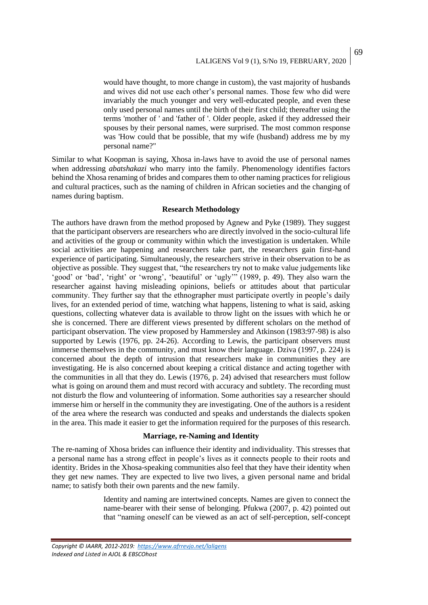would have thought, to more change in custom), the vast majority of husbands and wives did not use each other's personal names. Those few who did were invariably the much younger and very well-educated people, and even these only used personal names until the birth of their first child; thereafter using the terms 'mother of ' and 'father of '. Older people, asked if they addressed their spouses by their personal names, were surprised. The most common response was 'How could that be possible, that my wife (husband) address me by my personal name?"

Similar to what Koopman is saying, Xhosa in-laws have to avoid the use of personal names when addressing *abatshakazi* who marry into the family. Phenomenology identifies factors behind the Xhosa renaming of brides and compares them to other naming practices for religious and cultural practices, such as the naming of children in African societies and the changing of names during baptism.

## **Research Methodology**

The authors have drawn from the method proposed by Agnew and Pyke (1989). They suggest that the participant observers are researchers who are directly involved in the socio-cultural life and activities of the group or community within which the investigation is undertaken. While social activities are happening and researchers take part, the researchers gain first-hand experience of participating. Simultaneously, the researchers strive in their observation to be as objective as possible. They suggest that, "the researchers try not to make value judgements like 'good' or 'bad', 'right' or 'wrong', 'beautiful' or 'ugly'" (1989, p. 49). They also warn the researcher against having misleading opinions, beliefs or attitudes about that particular community. They further say that the ethnographer must participate overtly in people's daily lives, for an extended period of time, watching what happens, listening to what is said, asking questions, collecting whatever data is available to throw light on the issues with which he or she is concerned. There are different views presented by different scholars on the method of participant observation. The view proposed by Hammersley and Atkinson (1983:97-98) is also supported by Lewis (1976, pp. 24-26). According to Lewis, the participant observers must immerse themselves in the community, and must know their language. Dziva (1997, p. 224) is concerned about the depth of intrusion that researchers make in communities they are investigating. He is also concerned about keeping a critical distance and acting together with the communities in all that they do. Lewis (1976, p. 24) advised that researchers must follow what is going on around them and must record with accuracy and subtlety. The recording must not disturb the flow and volunteering of information. Some authorities say a researcher should immerse him or herself in the community they are investigating. One of the authors is a resident of the area where the research was conducted and speaks and understands the dialects spoken in the area. This made it easier to get the information required for the purposes of this research.

#### **Marriage, re-Naming and Identity**

The re-naming of Xhosa brides can influence their identity and individuality. This stresses that a personal name has a strong effect in people's lives as it connects people to their roots and identity. Brides in the Xhosa-speaking communities also feel that they have their identity when they get new names. They are expected to live two lives, a given personal name and bridal name; to satisfy both their own parents and the new family.

> Identity and naming are intertwined concepts. Names are given to connect the name-bearer with their sense of belonging. Pfukwa (2007, p. 42) pointed out that "naming oneself can be viewed as an act of self-perception, self-concept

*Copyright © IAARR, 2012-2019: <https://www.afrrevjo.net/laligens> Indexed and Listed in AJOL & EBSCOhost*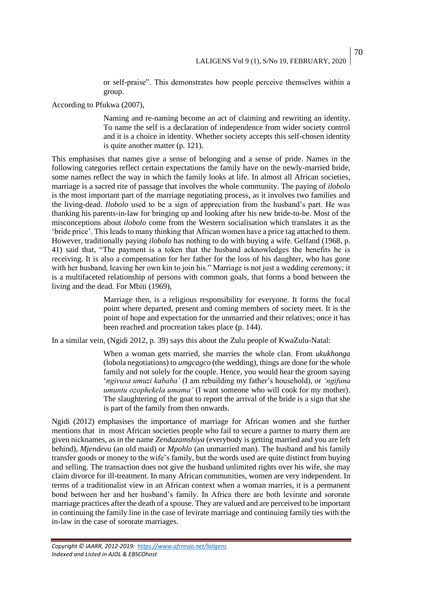or self-praise". This demonstrates how people perceive themselves within a group.

According to Pfukwa (2007),

Naming and re-naming become an act of claiming and rewriting an identity. To name the self is a declaration of independence from wider society control and it is a choice in identity. Whether society accepts this self-chosen identity is quite another matter (p. 121).

This emphasises that names give a sense of belonging and a sense of pride. Names in the following categories reflect certain expectations the family have on the newly-married bride, some names reflect the way in which the family looks at life. In almost all African societies, marriage is a sacred rite of passage that involves the whole community. The paying of *ilobolo* is the most important part of the marriage negotiating process, as it involves two families and the living-dead. *Ilobolo* used to be a sign of appreciation from the husband's part. He was thanking his parents-in-law for bringing up and looking after his new bride-to-be. Most of the misconceptions about *ilobolo* come from the Western socialisation which translates it as the 'bride price'. This leads to many thinking that African women have a price tag attached to them. However, traditionally paying *ilobolo* has nothing to do with buying a wife. Gelfand (1968, p. 41) said that, "The payment is a token that the husband acknowledges the benefits he is receiving. It is also a compensation for her father for the loss of his daughter, who has gone with her husband, leaving her own kin to join his." Marriage is not just a wedding ceremony; it is a multifaceted relationship of persons with common goals, that forms a bond between the living and the dead. For Mbiti (1969),

> Marriage then, is a religious responsibility for everyone. It forms the focal point where departed, present and coming members of society meet. It is the point of hope and expectation for the unmarried and their relatives; once it has been reached and procreation takes place (p. 144).

In a similar vein, (Ngidi 2012, p. 39) says this about the Zulu people of KwaZulu-Natal:

When a woman gets married, she marries the whole clan. From *ukukhonga*  (lobola negotiations) to *umgcagco* (the wedding), things are done for the whole family and not solely for the couple. Hence, you would hear the groom saying '*ngivusa umuzi kababa'* (I am rebuilding my father's household), or *'ngifuna umuntu ozophekela umama'* (I want someone who will cook for my mother). The slaughtering of the goat to report the arrival of the bride is a sign that she is part of the family from then onwards.

Ngidi (2012) emphasises the importance of marriage for African women and she further mentions that in most African societies people who fail to secure a partner to marry them are given nicknames, as in the name *Zendazamshiya* (everybody is getting married and you are left behind), *Mjendevu* (an old maid) or *Mpohlo* (an unmarried man). The husband and his family transfer goods or money to the wife's family, but the words used are quite distinct from buying and selling. The transaction does not give the husband unlimited rights over his wife, she may claim divorce for ill-treatment. In many African communities, women are very independent. In terms of a traditionalist view in an African context when a woman marries, it is a permanent bond between her and her husband's family. In Africa there are both levirate and sororate marriage practices after the death of a spouse. They are valued and are perceived to be important in continuing the family line in the case of levirate marriage and continuing family ties with the in-law in the case of sororate marriages.

70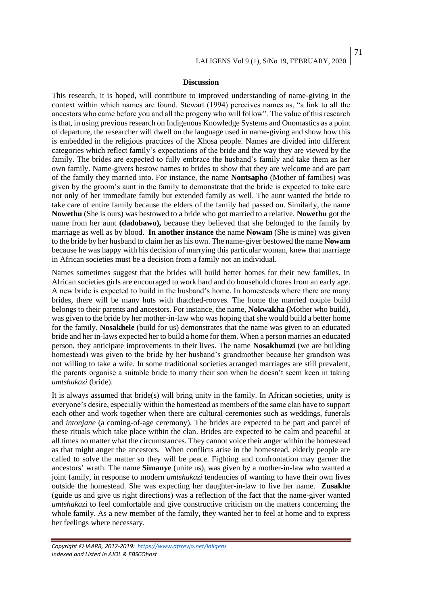#### **Discussion**

This research, it is hoped, will contribute to improved understanding of name-giving in the context within which names are found. Stewart (1994) perceives names as, "a link to all the ancestors who came before you and all the progeny who will follow". The value of this research is that, in using previous research on Indigenous Knowledge Systems and Onomastics as a point of departure, the researcher will dwell on the language used in name-giving and show how this is embedded in the religious practices of the Xhosa people. Names are divided into different categories which reflect family's expectations of the bride and the way they are viewed by the family. The brides are expected to fully embrace the husband's family and take them as her own family. Name-givers bestow names to brides to show that they are welcome and are part of the family they married into. For instance, the name **Nontsapho** (Mother of families) was given by the groom's aunt in the family to demonstrate that the bride is expected to take care not only of her immediate family but extended family as well. The aunt wanted the bride to take care of entire family because the elders of the family had passed on. Similarly, the name **Nowethu** (She is ours) was bestowed to a bride who got married to a relative. **Nowethu** got the name from her aunt **(dadobawo),** because they believed that she belonged to the family by marriage as well as by blood. **In another instance** the name **Nowam** (She is mine) was given to the bride by her husband to claim her as his own. The name-giver bestowed the name **Nowam** because he was happy with his decision of marrying this particular woman, knew that marriage in African societies must be a decision from a family not an individual.

Names sometimes suggest that the brides will build better homes for their new families. In African societies girls are encouraged to work hard and do household chores from an early age. A new bride is expected to build in the husband's home. In homesteads where there are many brides, there will be many huts with thatched-rooves. The home the married couple build belongs to their parents and ancestors. For instance, the name, **Nokwakha (**Mother who build), was given to the bride by her mother-in-law who was hoping that she would build a better home for the family. **Nosakhele** (build for us) demonstrates that the name was given to an educated bride and her in-laws expected her to build a home for them. When a person marries an educated person, they anticipate improvements in their lives. The name **Nosakhumzi** (we are building homestead) was given to the bride by her husband's grandmother because her grandson was not willing to take a wife. In some traditional societies arranged marriages are still prevalent, the parents organise a suitable bride to marry their son when he doesn't seem keen in taking *umtshakazi* (bride).

It is always assumed that bride(s) will bring unity in the family. In African societies, unity is everyone's desire, especially within the homestead as members of the same clan have to support each other and work together when there are cultural ceremonies such as weddings, funerals and *intonjane* (a coming-of-age ceremony). The brides are expected to be part and parcel of these rituals which take place within the clan. Brides are expected to be calm and peaceful at all times no matter what the circumstances. They cannot voice their anger within the homestead as that might anger the ancestors. When conflicts arise in the homestead, elderly people are called to solve the matter so they will be peace. Fighting and confrontation may garner the ancestors' wrath. The name **Simanye** (unite us), was given by a mother-in-law who wanted a joint family, in response to modern *umtshakazi* tendencies of wanting to have their own lives outside the homestead. She was expecting her daughter-in-law to live her name. **Zusakhe**  (guide us and give us right directions) was a reflection of the fact that the name-giver wanted *umtshakaz*i to feel comfortable and give constructive criticism on the matters concerning the whole family. As a new member of the family, they wanted her to feel at home and to express her feelings where necessary.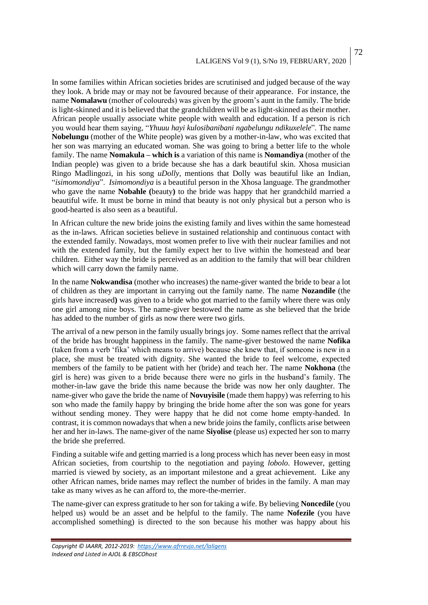# LALIGENS Vol 9 (1), S/No 19, FEBRUARY, 2020

72

In some families within African societies brides are scrutinised and judged because of the way they look. A bride may or may not be favoured because of their appearance. For instance, the name **Nomalawu** (mother of coloureds) was given by the groom's aunt in the family. The bride is light-skinned and it is believed that the grandchildren will be as light-skinned as their mother. African people usually associate white people with wealth and education. If a person is rich you would hear them saying, "*Yhuuu hayi kulosibanibani ngabelungu ndikuxelele*". The name **Nobelungu** (mother of the White people) was given by a mother-in-law, who was excited that her son was marrying an educated woman. She was going to bring a better life to the whole family. The name **Nomakula – which is** a variation of this name is **Nomandiya** (mother of the Indian people) was given to a bride because she has a dark beautiful skin. Xhosa musician Ringo Madlingozi, in his song *uDolly*, mentions that Dolly was beautiful like an Indian, "*isimomondiya*". *Isimomondiya* is a beautiful person in the Xhosa language. The grandmother who gave the name **Nobahle (**beauty**)** to the bride was happy that her grandchild married a beautiful wife. It must be borne in mind that beauty is not only physical but a person who is good-hearted is also seen as a beautiful.

In African culture the new bride joins the existing family and lives within the same homestead as the in-laws. African societies believe in sustained relationship and continuous contact with the extended family. Nowadays, most women prefer to live with their nuclear families and not with the extended family, but the family expect her to live within the homestead and bear children. Either way the bride is perceived as an addition to the family that will bear children which will carry down the family name.

In the name **Nokwandisa** (mother who increases) the name-giver wanted the bride to bear a lot of children as they are important in carrying out the family name. The name **Nozandile** (the girls have increased**)** was given to a bride who got married to the family where there was only one girl among nine boys. The name-giver bestowed the name as she believed that the bride has added to the number of girls as now there were two girls.

The arrival of a new person in the family usually brings joy. Some names reflect that the arrival of the bride has brought happiness in the family. The name-giver bestowed the name **Nofika**  (taken from a verb 'fika' which means to arrive) because she knew that, if someone is new in a place, she must be treated with dignity. She wanted the bride to feel welcome, expected members of the family to be patient with her (bride) and teach her. The name **Nokhona** (the girl is here) was given to a bride because there were no girls in the husband's family. The mother-in-law gave the bride this name because the bride was now her only daughter. The name-giver who gave the bride the name of **Novuyisile** (made them happy) was referring to his son who made the family happy by bringing the bride home after the son was gone for years without sending money. They were happy that he did not come home empty-handed. In contrast, it is common nowadays that when a new bride joins the family, conflicts arise between her and her in-laws. The name-giver of the name **Siyolise** (please us) expected her son to marry the bride she preferred.

Finding a suitable wife and getting married is a long process which has never been easy in most African societies, from courtship to the negotiation and paying *lobolo*. However, getting married is viewed by society, as an important milestone and a great achievement. Like any other African names, bride names may reflect the number of brides in the family. A man may take as many wives as he can afford to, the more-the-merrier.

The name-giver can express gratitude to her son for taking a wife. By believing **Noncedile** (you helped us) would be an asset and be helpful to the family. The name **Nofezile** (you have accomplished something) is directed to the son because his mother was happy about his

*Copyright © IAARR, 2012-2019: <https://www.afrrevjo.net/laligens> Indexed and Listed in AJOL & EBSCOhost*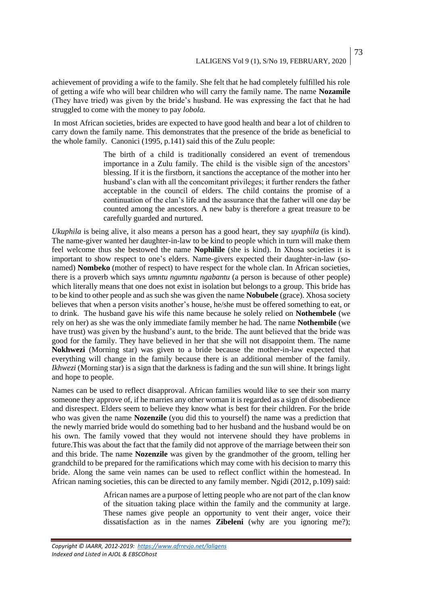achievement of providing a wife to the family. She felt that he had completely fulfilled his role of getting a wife who will bear children who will carry the family name. The name **Nozamile**  (They have tried) was given by the bride's husband. He was expressing the fact that he had struggled to come with the money to pay *lobola.* 

In most African societies, brides are expected to have good health and bear a lot of children to carry down the family name. This demonstrates that the presence of the bride as beneficial to the whole family. Canonici (1995, p.141) said this of the Zulu people:

> The birth of a child is traditionally considered an event of tremendous importance in a Zulu family. The child is the visible sign of the ancestors' blessing. If it is the firstborn, it sanctions the acceptance of the mother into her husband's clan with all the concomitant privileges; it further renders the father acceptable in the council of elders. The child contains the promise of a continuation of the clan's life and the assurance that the father will one day be counted among the ancestors. A new baby is therefore a great treasure to be carefully guarded and nurtured.

*Ukuphila* is being alive, it also means a person has a good heart, they say *uyaphila* (is kind). The name-giver wanted her daughter-in-law to be kind to people which in turn will make them feel welcome thus she bestowed the name **Nophilile** (she is kind). In Xhosa societies it is important to show respect to one's elders. Name-givers expected their daughter-in-law (sonamed) **Nombeko** (mother of respect) to have respect for the whole clan. In African societies, there is a proverb which says *umntu ngumntu ngabantu* (a person is because of other people) which literally means that one does not exist in isolation but belongs to a group. This bride has to be kind to other people and as such she was given the name **Nobubele** (grace). Xhosa society believes that when a person visits another's house, he/she must be offered something to eat, or to drink. The husband gave his wife this name because he solely relied on **Nothembele** (we rely on her) as she was the only immediate family member he had. The name **Nothembile** (we have trust) was given by the husband's aunt, to the bride. The aunt believed that the bride was good for the family. They have believed in her that she will not disappoint them. The name **Nokhwezi** (Morning star) was given to a bride because the mother-in-law expected that everything will change in the family because there is an additional member of the family. *Ikhwezi* (Morning star) is a sign that the darkness is fading and the sun will shine. It brings light and hope to people.

Names can be used to reflect disapproval. African families would like to see their son marry someone they approve of, if he marries any other woman it is regarded as a sign of disobedience and disrespect. Elders seem to believe they know what is best for their children. For the bride who was given the name **Nozenzile** (you did this to yourself) the name was a prediction that the newly married bride would do something bad to her husband and the husband would be on his own. The family vowed that they would not intervene should they have problems in future.This was about the fact that the family did not approve of the marriage between their son and this bride. The name **Nozenzile** was given by the grandmother of the groom, telling her grandchild to be prepared for the ramifications which may come with his decision to marry this bride. Along the same vein names can be used to reflect conflict within the homestead. In African naming societies, this can be directed to any family member. Ngidi (2012, p.109) said:

> African names are a purpose of letting people who are not part of the clan know of the situation taking place within the family and the community at large. These names give people an opportunity to vent their anger, voice their dissatisfaction as in the names **Zibeleni** (why are you ignoring me?);

*Copyright © IAARR, 2012-2019: <https://www.afrrevjo.net/laligens> Indexed and Listed in AJOL & EBSCOhost*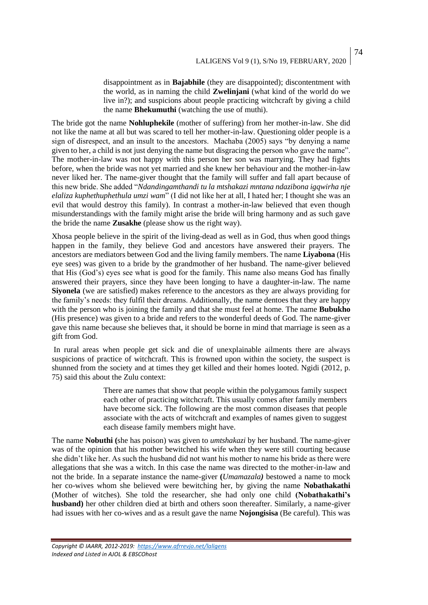disappointment as in **Bajabhile** (they are disappointed); discontentment with the world, as in naming the child **Zwelinjani** (what kind of the world do we live in?); and suspicions about people practicing witchcraft by giving a child the name **Bhekumuthi** (watching the use of muthi).

The bride got the name **Nohluphekile** (mother of suffering) from her mother-in-law. She did not like the name at all but was scared to tell her mother-in-law. Questioning older people is a sign of disrespect, and an insult to the ancestors. Machaba (2005) says "by denying a name given to her, a child is not just denying the name but disgracing the person who gave the name". The mother-in-law was not happy with this person her son was marrying. They had fights before, when the bride was not yet married and she knew her behaviour and the mother-in-law never liked her. The name-giver thought that the family will suffer and fall apart because of this new bride. She added "*Ndandingamthandi tu la mtshakazi mntana ndazibona igqwirha nje elaliza kuphethuphethula umzi wam*" (I did not like her at all, I hated her; I thought she was an evil that would destroy this family). In contrast a mother-in-law believed that even though misunderstandings with the family might arise the bride will bring harmony and as such gave the bride the name **Zusakhe** (please show us the right way).

Xhosa people believe in the spirit of the living-dead as well as in God, thus when good things happen in the family, they believe God and ancestors have answered their prayers. The ancestors are mediators between God and the living family members. The name **Liyabona** (His eye sees) was given to a bride by the grandmother of her husband. The name-giver believed that His (God's) eyes see what is good for the family. This name also means God has finally answered their prayers, since they have been longing to have a daughter-in-law. The name **Siyonela** (we are satisfied) makes reference to the ancestors as they are always providing for the family's needs: they fulfil their dreams. Additionally, the name dentoes that they are happy with the person who is joining the family and that she must feel at home. The name **Bubukho**  (His presence) was given to a bride and refers to the wonderful deeds of God. The name-giver gave this name because she believes that, it should be borne in mind that marriage is seen as a gift from God.

In rural areas when people get sick and die of unexplainable ailments there are always suspicions of practice of witchcraft. This is frowned upon within the society, the suspect is shunned from the society and at times they get killed and their homes looted. Ngidi (2012, p. 75) said this about the Zulu context:

> There are names that show that people within the polygamous family suspect each other of practicing witchcraft. This usually comes after family members have become sick. The following are the most common diseases that people associate with the acts of witchcraft and examples of names given to suggest each disease family members might have.

The name **Nobuthi (**she has poison) was given to *umtshakazi* by her husband. The name-giver was of the opinion that his mother bewitched his wife when they were still courting because she didn't like her. As such the husband did not want his mother to name his bride as there were allegations that she was a witch. In this case the name was directed to the mother-in-law and not the bride. In a separate instance the name-giver **(***Umamazala)* bestowed a name to mock her co-wives whom she believed were bewitching her, by giving the name **Nobathakathi**  (Mother of witches). She told the researcher, she had only one child **(Nobathakathi's husband)** her other children died at birth and others soon thereafter. Similarly, a name-giver had issues with her co-wives and as a result gave the name **Nojongisisa** (Be careful). This was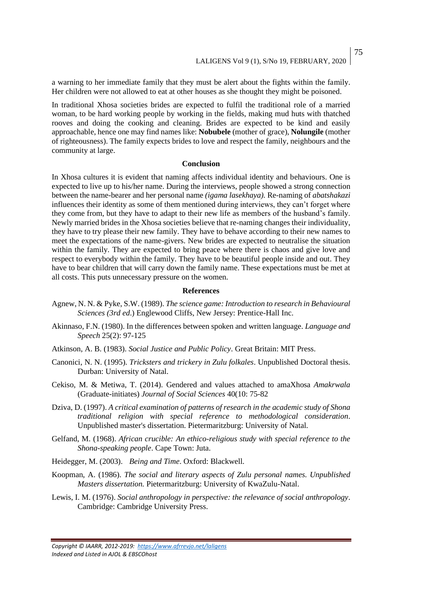75

a warning to her immediate family that they must be alert about the fights within the family. Her children were not allowed to eat at other houses as she thought they might be poisoned.

In traditional Xhosa societies brides are expected to fulfil the traditional role of a married woman, to be hard working people by working in the fields, making mud huts with thatched rooves and doing the cooking and cleaning. Brides are expected to be kind and easily approachable, hence one may find names like: **Nobubele** (mother of grace), **Nolungile** (mother of righteousness). The family expects brides to love and respect the family, neighbours and the community at large.

## **Conclusion**

In Xhosa cultures it is evident that naming affects individual identity and behaviours. One is expected to live up to his/her name. During the interviews, people showed a strong connection between the name-bearer and her personal name *(igama lasekhaya).* Re-naming of *abatshakazi* influences their identity as some of them mentioned during interviews, they can't forget where they come from, but they have to adapt to their new life as members of the husband's family. Newly married brides in the Xhosa societies believe that re-naming changes their individuality, they have to try please their new family. They have to behave according to their new names to meet the expectations of the name-givers. New brides are expected to neutralise the situation within the family. They are expected to bring peace where there is chaos and give love and respect to everybody within the family. They have to be beautiful people inside and out. They have to bear children that will carry down the family name. These expectations must be met at all costs. This puts unnecessary pressure on the women.

#### **References**

- Agnew, N. N. & Pyke, S.W. (1989). *The science game: Introduction to research in Behavioural Sciences (3rd ed*.) Englewood Cliffs, New Jersey: Prentice-Hall Inc.
- Akinnaso, F.N. (1980). In the differences between spoken and written language. *Language and Speech* 25(2): 97-125
- Atkinson, A. B. (1983). *Social Justice and Public Policy*. Great Britain: MIT Press.
- Canonici, N. N. (1995). *Tricksters and trickery in Zulu folkales*. Unpublished Doctoral thesis. Durban: University of Natal.
- Cekiso, M. & Metiwa, T. (2014). Gendered and values attached to amaXhosa *Amakrwala* (Graduate-initiates) *Journal of Social Sciences* 40(10: 75-82
- Dziva, D. (1997). *A critical examination of patterns of research in the academic study of Shona traditional religion with special reference to methodological consideration*. Unpublished master's dissertation. Pietermaritzburg: University of Natal.
- Gelfand, M. (1968). *African crucible: An ethico-religious study with special reference to the Shona-speaking people*. Cape Town: Juta.
- Heidegger, M. (2003). *Being and Time*. Oxford: Blackwell.
- Koopman, A. (1986). *The social and literary aspects of Zulu personal names. Unpublished Masters dissertation.* Pietermaritzburg: University of KwaZulu-Natal.
- Lewis, I. M. (1976). *Social anthropology in perspective: the relevance of social anthropology*. Cambridge: Cambridge University Press.

*Copyright © IAARR, 2012-2019: <https://www.afrrevjo.net/laligens> Indexed and Listed in AJOL & EBSCOhost*